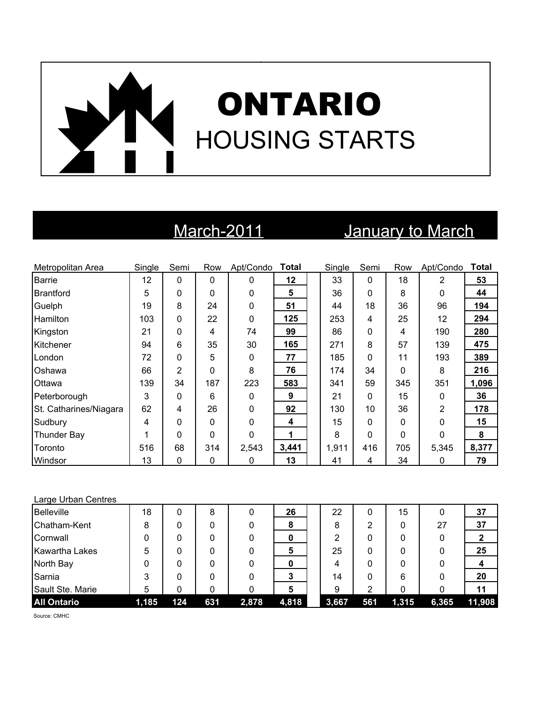# ONTARIO HOUSING STARTS

### March-2011 **January to March**

| Metropolitan Area      | Single | Semi           | Row         | Apt/Condo    | <b>Total</b> | Single | Semi         | Row      | Apt/Condo    | <b>Total</b> |
|------------------------|--------|----------------|-------------|--------------|--------------|--------|--------------|----------|--------------|--------------|
| <b>Barrie</b>          | 12     | $\mathbf 0$    | $\mathbf 0$ | $\mathbf{0}$ | 12           | 33     | $\mathbf{0}$ | 18       | 2            | 53           |
| <b>Brantford</b>       | 5      | 0              | 0           | 0            | 5            | 36     | $\mathbf{0}$ | 8        | $\mathbf{0}$ | 44           |
| Guelph                 | 19     | 8              | 24          | $\mathbf 0$  | 51           | 44     | 18           | 36       | 96           | 194          |
| <b>Hamilton</b>        | 103    | 0              | 22          | 0            | 125          | 253    | 4            | 25       | 12           | 294          |
| Kingston               | 21     | 0              | 4           | 74           | 99           | 86     | $\mathbf 0$  | 4        | 190          | 280          |
| Kitchener              | 94     | 6              | 35          | 30           | 165          | 271    | 8            | 57       | 139          | 475          |
| London                 | 72     | 0              | 5           | $\mathbf{0}$ | 77           | 185    | $\mathbf 0$  | 11       | 193          | 389          |
| Oshawa                 | 66     | $\overline{2}$ | 0           | 8            | 76           | 174    | 34           | $\Omega$ | 8            | 216          |
| Ottawa                 | 139    | 34             | 187         | 223          | 583          | 341    | 59           | 345      | 351          | 1,096        |
| Peterborough           | 3      | 0              | 6           | $\mathbf{0}$ | 9            | 21     | $\mathbf{0}$ | 15       | 0            | 36           |
| St. Catharines/Niagara | 62     | 4              | 26          | 0            | 92           | 130    | 10           | 36       | 2            | 178          |
| Sudbury                | 4      | 0              | 0           | $\Omega$     | 4            | 15     | $\mathbf{0}$ | $\Omega$ | $\mathbf{0}$ | 15           |
| <b>Thunder Bay</b>     | 1      | 0              | 0           | $\Omega$     | 1            | 8      | $\mathbf 0$  | 0        | 0            | 8            |
| Toronto                | 516    | 68             | 314         | 2,543        | 3,441        | 1,911  | 416          | 705      | 5,345        | 8,377        |
| Windsor                | 13     | $\mathbf{0}$   | 0           | $\mathbf{0}$ | 13           | 41     | 4            | 34       | $\mathbf{0}$ | 79           |
|                        |        |                |             |              |              |        |              |          |              |              |

| <b>All Ontario</b>    | 1,185 | 124 | 631 | 2,878 | 4,818 | 3,667 | 561 | 1,315 | 6,365 | 11,908 |
|-----------------------|-------|-----|-----|-------|-------|-------|-----|-------|-------|--------|
| Sault Ste. Marie      | 5     | 0   | 0   |       | 5     | 9     | っ   |       |       | 11     |
| Sarnia                | 3     | 0   | 0   |       |       | 14    | 0   | 6     |       | 20     |
| North Bay             | 0     | 0   | 0   |       | 0     | 4     | 0   | 0     | 0     |        |
| <b>Kawartha Lakes</b> | 5     | 0   | 0   |       | 5     | 25    | 0   | 0     | 0     | 25     |
| Cornwall              | 0     | 0   | 0   |       | 0     | 2     | 0   | 0     | 0     |        |
| Chatham-Kent          | 8     | 0   | 0   |       | 8     | 8     | 2   | 0     | 27    | 37     |
| <b>Belleville</b>     | 18    | 0   | 8   |       | 26    | 22    | 0   | 15    | 0     | 37     |
| Large Urban Centres   |       |     |     |       |       |       |     |       |       |        |

Source: CMHC